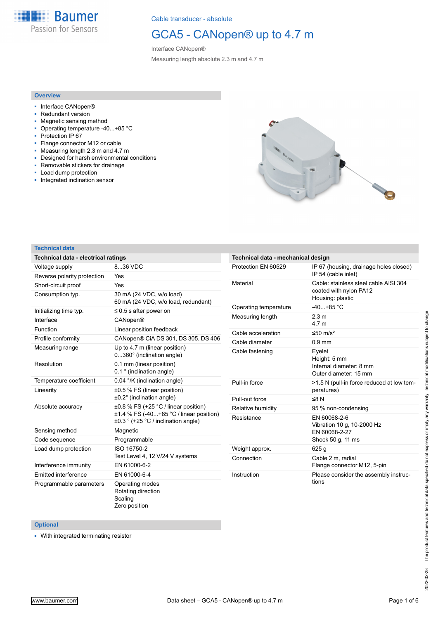

## GCA5 - CANopen® up to 4.7 m

Interface CANopen® Measuring length absolute 2.3 m and 4.7 m

#### **Overview**

- Interface CANopen®
- Redundant version
- Magnetic sensing method
- Operating temperature -40...+85 °C
- Protection IP 67
- Flange connector M12 or cable
- Measuring length 2.3 m and 4.7 m
- Designed for harsh environmental conditions
- Removable stickers for drainage
- Load dump protection
- Integrated inclination sensor



#### **Technical data**

| Technical data - electrical ratings | 8.36 VDC<br>Yes<br>Yes<br>30 mA (24 VDC, w/o load)<br>60 mA (24 VDC, w/o load, redundant)<br>$\leq$ 0.5 s after power on<br><b>CANopen®</b><br>Linear position feedback<br>CANopen® CiA DS 301, DS 305, DS 406<br>Up to 4.7 m (linear position)<br>0360° (inclination angle)<br>0.1 mm (linear position)<br>0.1 ° (inclination angle)<br>0.04 °/K (inclination angle)<br>±0.5 % FS (linear position)<br>$\pm 0.2^{\circ}$ (inclination angle)<br>$\pm 0.8$ % FS (+25 °C / linear position)<br>$±1.4$ % FS (-40+85 °C / linear position)<br>$\pm 0.3$ ° (+25 °C / inclination angle)<br>Magnetic<br>Programmable<br>ISO 16750-2<br>Test Level 4, 12 V/24 V systems<br>EN 61000-6-2<br>EN 61000-6-4<br>Operating modes<br>Rotating direction | Technical data - mechanical design |                                            |  |  |  |  |
|-------------------------------------|--------------------------------------------------------------------------------------------------------------------------------------------------------------------------------------------------------------------------------------------------------------------------------------------------------------------------------------------------------------------------------------------------------------------------------------------------------------------------------------------------------------------------------------------------------------------------------------------------------------------------------------------------------------------------------------------------------------------------------------------|------------------------------------|--------------------------------------------|--|--|--|--|
| Voltage supply                      |                                                                                                                                                                                                                                                                                                                                                                                                                                                                                                                                                                                                                                                                                                                                            | Protection EN 60529                | IP 67 (housing, drainage holes closed)     |  |  |  |  |
| Reverse polarity protection         |                                                                                                                                                                                                                                                                                                                                                                                                                                                                                                                                                                                                                                                                                                                                            |                                    | IP 54 (cable inlet)                        |  |  |  |  |
| Short-circuit proof                 |                                                                                                                                                                                                                                                                                                                                                                                                                                                                                                                                                                                                                                                                                                                                            | Material                           | Cable: stainless steel cable AISI 304      |  |  |  |  |
| Consumption typ.                    |                                                                                                                                                                                                                                                                                                                                                                                                                                                                                                                                                                                                                                                                                                                                            |                                    | coated with nylon PA12<br>Housing: plastic |  |  |  |  |
| Initializing time typ.              |                                                                                                                                                                                                                                                                                                                                                                                                                                                                                                                                                                                                                                                                                                                                            | Operating temperature              | $-40+85 °C$                                |  |  |  |  |
| Interface                           |                                                                                                                                                                                                                                                                                                                                                                                                                                                                                                                                                                                                                                                                                                                                            | Measuring length                   | 2.3 <sub>m</sub><br>4.7 <sub>m</sub>       |  |  |  |  |
| Function                            |                                                                                                                                                                                                                                                                                                                                                                                                                                                                                                                                                                                                                                                                                                                                            | Cable acceleration                 | $≤50$ m/s <sup>2</sup>                     |  |  |  |  |
| Profile conformity                  |                                                                                                                                                                                                                                                                                                                                                                                                                                                                                                                                                                                                                                                                                                                                            | Cable diameter                     | $0.9$ mm                                   |  |  |  |  |
| Measuring range                     |                                                                                                                                                                                                                                                                                                                                                                                                                                                                                                                                                                                                                                                                                                                                            |                                    |                                            |  |  |  |  |
|                                     |                                                                                                                                                                                                                                                                                                                                                                                                                                                                                                                                                                                                                                                                                                                                            | Cable fastening                    | Eyelet<br>Height: 5 mm                     |  |  |  |  |
| Resolution                          |                                                                                                                                                                                                                                                                                                                                                                                                                                                                                                                                                                                                                                                                                                                                            |                                    | Internal diameter: 8 mm                    |  |  |  |  |
|                                     |                                                                                                                                                                                                                                                                                                                                                                                                                                                                                                                                                                                                                                                                                                                                            |                                    | Outer diameter: 15 mm                      |  |  |  |  |
| Temperature coefficient             |                                                                                                                                                                                                                                                                                                                                                                                                                                                                                                                                                                                                                                                                                                                                            | Pull-in force                      | >1.5 N (pull-in force reduced at low ten   |  |  |  |  |
| Linearity                           |                                                                                                                                                                                                                                                                                                                                                                                                                                                                                                                                                                                                                                                                                                                                            |                                    | peratures)                                 |  |  |  |  |
|                                     |                                                                                                                                                                                                                                                                                                                                                                                                                                                                                                                                                                                                                                                                                                                                            | Pull-out force                     | ≤8 $N$                                     |  |  |  |  |
| Absolute accuracy                   |                                                                                                                                                                                                                                                                                                                                                                                                                                                                                                                                                                                                                                                                                                                                            | Relative humidity                  | 95 % non-condensing                        |  |  |  |  |
|                                     |                                                                                                                                                                                                                                                                                                                                                                                                                                                                                                                                                                                                                                                                                                                                            | Resistance                         | EN 60068-2-6<br>Vibration 10 g, 10-2000 Hz |  |  |  |  |
| Sensing method                      |                                                                                                                                                                                                                                                                                                                                                                                                                                                                                                                                                                                                                                                                                                                                            |                                    | EN 60068-2-27                              |  |  |  |  |
| Code sequence                       |                                                                                                                                                                                                                                                                                                                                                                                                                                                                                                                                                                                                                                                                                                                                            |                                    | Shock 50 g, 11 ms                          |  |  |  |  |
| Load dump protection                |                                                                                                                                                                                                                                                                                                                                                                                                                                                                                                                                                                                                                                                                                                                                            | Weight approx.                     | 625 <sub>g</sub>                           |  |  |  |  |
|                                     |                                                                                                                                                                                                                                                                                                                                                                                                                                                                                                                                                                                                                                                                                                                                            | Connection                         | Cable 2 m. radial                          |  |  |  |  |
| Interference immunity               |                                                                                                                                                                                                                                                                                                                                                                                                                                                                                                                                                                                                                                                                                                                                            |                                    | Flange connector M12, 5-pin                |  |  |  |  |
| Emitted interference                |                                                                                                                                                                                                                                                                                                                                                                                                                                                                                                                                                                                                                                                                                                                                            | Instruction                        | Please consider the assembly instruc-      |  |  |  |  |
| Programmable parameters             | Scaling<br>Zero position                                                                                                                                                                                                                                                                                                                                                                                                                                                                                                                                                                                                                                                                                                                   |                                    | tions                                      |  |  |  |  |

#### **Optional**

■ With integrated terminating resistor

low tem-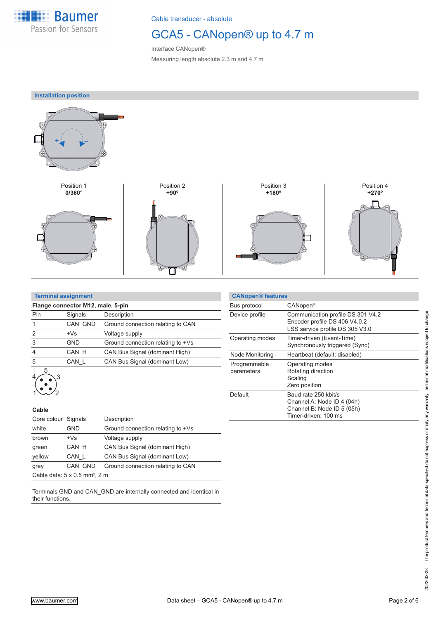

## GCA5 - CANopen® up to 4.7 m

Interface CANopen® Measuring length absolute 2.3 m and 4.7 m

**Installation position**



| <b>Terminal assignment</b> |  |
|----------------------------|--|
|                            |  |

| Pin | Signals    | Description                       |
|-----|------------|-----------------------------------|
|     | CAN GND    | Ground connection relating to CAN |
| 2   | $+Vs$      | Voltage supply                    |
| 3   | <b>GND</b> | Ground connection relating to +Vs |
|     | CAN H      | CAN Bus Signal (dominant High)    |
| 5   | CAN L      | CAN Bus Signal (dominant Low)     |

#### **Cable**

 $\langle \cdot, \cdot \rangle$ 

| <b>VUNIV</b>        |                                                  |                                   |
|---------------------|--------------------------------------------------|-----------------------------------|
| Core colour Signals |                                                  | Description                       |
| white               | GND                                              | Ground connection relating to +Vs |
| brown               | $+Vs$                                            | Voltage supply                    |
| green               | CAN H                                            | CAN Bus Signal (dominant High)    |
| vellow              | CAN L                                            | CAN Bus Signal (dominant Low)     |
| grey                | CAN GND                                          | Ground connection relating to CAN |
|                     | Cable data: $5 \times 0.5$ mm <sup>2</sup> , 2 m |                                   |
|                     |                                                  |                                   |

Terminals GND and CAN\_GND are internally connected and identical in their functions.

| <b>CANopen® features</b>   |                                                                                                          |
|----------------------------|----------------------------------------------------------------------------------------------------------|
| Bus protocol               | CANopen <sup>®</sup>                                                                                     |
| Device profile             | Communication profile DS 301 V4.2<br>Encoder profile DS 406 V4.0.2<br>LSS service profile DS 305 V3.0    |
| Operating modes            | Timer-driven (Event-Time)<br>Synchronously triggered (Sync)                                              |
| Node Monitoring            | Heartbeat (default: disabled)                                                                            |
| Programmable<br>parameters | Operating modes<br>Rotating direction<br>Scaling<br>Zero position                                        |
| Default                    | Baud rate 250 kbit/s<br>Channel A: Node ID 4 (04h)<br>Channel B: Node ID 5 (05h)<br>Timer-driven: 100 ms |

 $\overline{\phantom{0}}$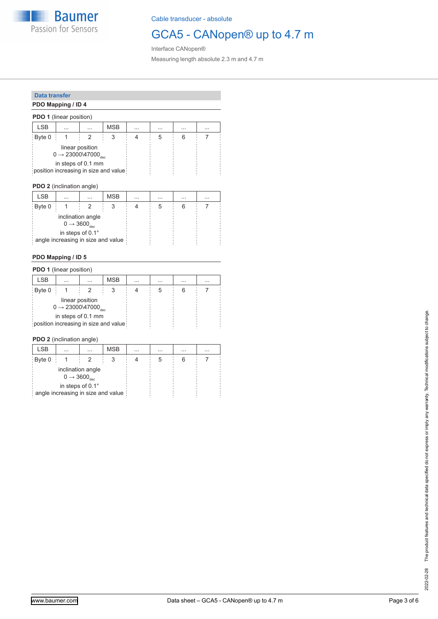

## GCA5 - CANopen® up to 4.7 m

Interface CANopen® Measuring length absolute 2.3 m and 4.7 m

### **Data transfer**

### **PDO Mapping / ID 4**

| <b>PDO 1</b> (linear position) |                                              |                 |                                       |          |          |          |  |  |
|--------------------------------|----------------------------------------------|-----------------|---------------------------------------|----------|----------|----------|--|--|
| <b>LSB</b>                     | $\cdots$                                     | .               | <b>MSB</b>                            | $\cdots$ | $\cdots$ | $\cdots$ |  |  |
| Byte 0                         |                                              |                 | З                                     |          | 5        | ห        |  |  |
|                                | $0 \rightarrow 23000$ \ $47000_{\text{dec}}$ | linear position |                                       |          |          |          |  |  |
|                                | in steps of 0.1 mm                           |                 | position increasing in size and value |          |          |          |  |  |

**PDO 2** (inclination angle)

| <b>LSB</b> | $\cdots$                           | $\cdots$                                               | <b>MSB</b> | $\cdots$ | $\cdots$ | $\cdots$ | $\cdots$ |  |
|------------|------------------------------------|--------------------------------------------------------|------------|----------|----------|----------|----------|--|
| Byte 0     |                                    |                                                        |            |          | 5        |          |          |  |
|            |                                    | inclination angle<br>$0 \rightarrow 3600_{\text{dec}}$ |            |          |          |          |          |  |
|            | angle increasing in size and value | in steps of 0.1°                                       |            |          |          |          |          |  |

#### **PDO Mapping / ID 5**

| <b>PDO 1</b> (linear position) |                                             |                 |                                       |          |          |          |          |  |
|--------------------------------|---------------------------------------------|-----------------|---------------------------------------|----------|----------|----------|----------|--|
| <b>LSB</b>                     | $\cdots$                                    | $\cdots$        | <b>MSB</b>                            | $\cdots$ | $\cdots$ | $\cdots$ | $\cdots$ |  |
| Byte 0                         |                                             |                 |                                       |          | 5        |          |          |  |
|                                | $0 \rightarrow 23000$ \47000 <sub>dec</sub> | linear position |                                       |          |          |          |          |  |
|                                | in steps of 0.1 mm                          |                 | position increasing in size and value |          |          |          |          |  |

**PDO 2** (inclination angle)

| <b>LSB</b> | $\cdots$                           | $\cdots$                                               | <b>MSB</b> | $\cdots$ | $\cdots$ | $\cdots$ | $\cdots$ |  |
|------------|------------------------------------|--------------------------------------------------------|------------|----------|----------|----------|----------|--|
| Byte 0     |                                    |                                                        |            |          | :C       |          |          |  |
|            |                                    | inclination angle<br>$0 \rightarrow 3600_{\text{dec}}$ |            |          |          |          |          |  |
|            | angle increasing in size and value | in steps of 0.1°                                       |            |          |          |          |          |  |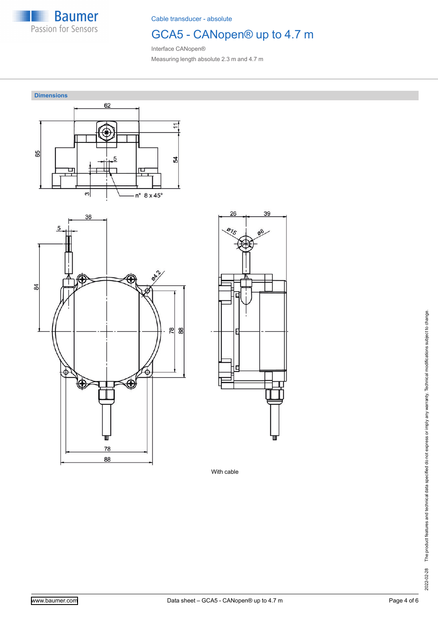

# GCA5 - CANopen® up to 4.7 m

Interface CANopen® Measuring length absolute 2.3 m and 4.7 m



With cable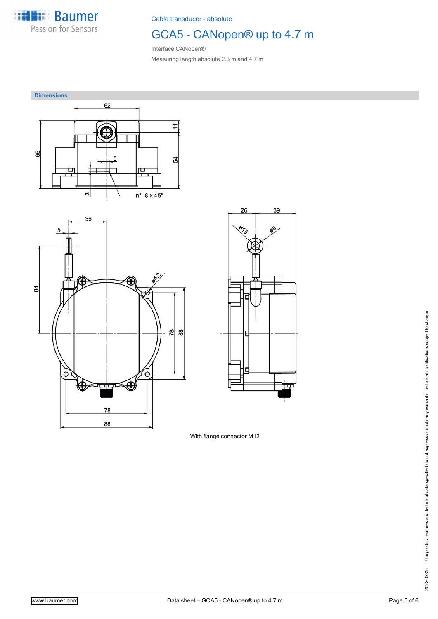

# GCA5 - CANopen® up to 4.7 m

39

Interface CANopen® Measuring length absolute 2.3 m and 4.7 m



With flange connector M12